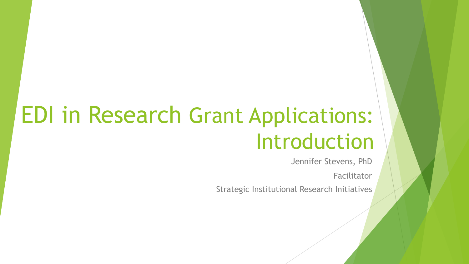# EDI in Research Grant Applications: Introduction

Jennifer Stevens, PhD

Facilitator

Strategic Institutional Research Initiatives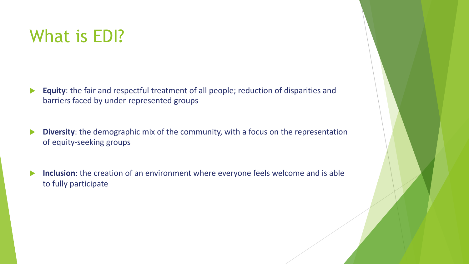### What is EDI?

- **Equity**: the fair and respectful treatment of all people; reduction of disparities and barriers faced by under-represented groups
- **Diversity**: the demographic mix of the community, with a focus on the representation of equity-seeking groups
- **Inclusion**: the creation of an environment where everyone feels welcome and is able to fully participate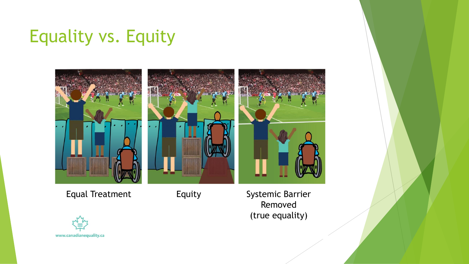# Equality vs. Equity



Equal Treatment Equity Systemic Barrier

Removed (true equality)

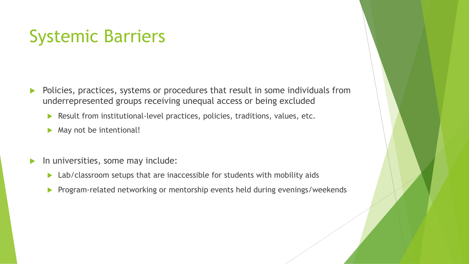### Systemic Barriers

- Policies, practices, systems or procedures that result in some individuals from underrepresented groups receiving unequal access or being excluded
	- $\blacktriangleright$  Result from institutional-level practices, policies, traditions, values, etc.
	- $\blacktriangleright$  May not be intentional!
- $\blacktriangleright$  In universities, some may include:
	- $\blacktriangleright$  Lab/classroom setups that are inaccessible for students with mobility aids
	- **Program-related networking or mentorship events held during evenings/weekends**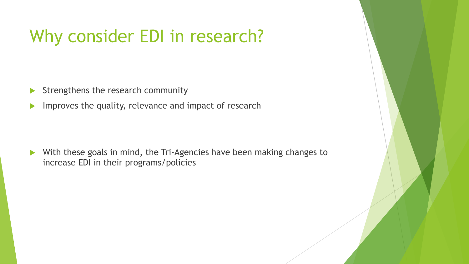# Why consider EDI in research?

- $\blacktriangleright$  Strengthens the research community
- Improves the quality, relevance and impact of research

 $\blacktriangleright$  With these goals in mind, the Tri-Agencies have been making changes to increase EDI in their programs/policies